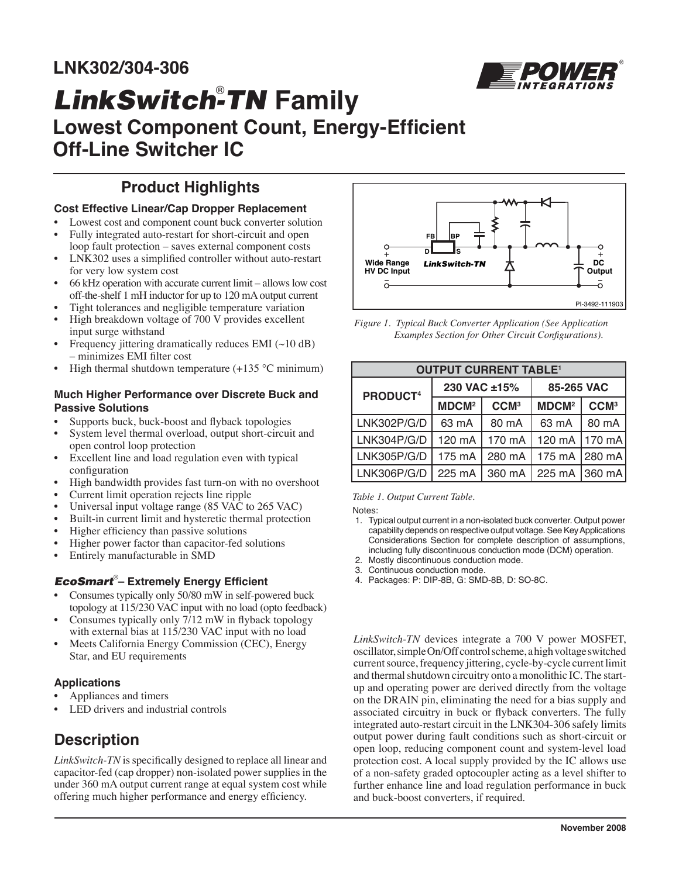

# *LinkSwitch-TN Family* **Lowest Component Count, Energy-Efficient Off-Line Switcher IC**

# **Product Highlights**

## **Cost Effective Linear/Cap Dropper Replacement**

- Lowest cost and component count buck converter solution
- Fully integrated auto-restart for short-circuit and open loop fault protection – saves external component costs
- LNK302 uses a simplified controller without auto-restart for very low system cost
- 66 kHz operation with accurate current limit allows low cost off-the-shelf 1 mH inductor for up to 120 mA output current
- Tight tolerances and negligible temperature variation
- High breakdown voltage of 700 V provides excellent input surge withstand
- Frequency jittering dramatically reduces EMI  $(\sim 10 \text{ dB})$ – minimizes EMI filter cost

# High thermal shutdown temperature  $(+135 \degree C \text{ minimum})$

### **Much Higher Performance over Discrete Buck and Passive Solutions**

- Supports buck, buck-boost and flyback topologies
- System level thermal overload, output short-circuit and open control loop protection
- Excellent line and load regulation even with typical configuration
- High bandwidth provides fast turn-on with no overshoot
- Current limit operation rejects line ripple
- Universal input voltage range (85 VAC to 265 VAC)
- Built-in current limit and hysteretic thermal protection
- Higher efficiency than passive solutions
- Higher power factor than capacitor-fed solutions
- Entirely manufacturable in SMD

# **EcoSmart**®– Extremely Energy Efficient

- Consumes typically only 50/80 mW in self-powered buck topology at 115/230 VAC input with no load (opto feedback)
- Consumes typically only 7/12 mW in flyback topology with external bias at 115/230 VAC input with no load
- Meets California Energy Commission (CEC), Energy Star, and EU requirements

# **Applications**

- Appliances and timers
- LED drivers and industrial controls

# **Description**

*LinkSwitch-TN* is specifically designed to replace all linear and capacitor-fed (cap dropper) non-isolated power supplies in the under 360 mA output current range at equal system cost while offering much higher performance and energy efficiency.



*Figure 1. Typical Buck Converter Application (See Application Examples Section for Other Circuit Configurations).* 

| <b>OUTPUT CURRENT TABLE<sup>1</sup></b> |                         |                  |                         |                  |  |  |
|-----------------------------------------|-------------------------|------------------|-------------------------|------------------|--|--|
| PRODUCT <sup>4</sup>                    | 230 VAC ±15%            |                  | 85-265 VAC              |                  |  |  |
|                                         | <b>MDCM<sup>2</sup></b> | CCM <sup>3</sup> | <b>MDCM<sup>2</sup></b> | CCM <sup>3</sup> |  |  |
| LNK302P/G/D                             | 63 mA                   | 80 mA            | 63 mA                   | 80 mA            |  |  |
| LNK304P/G/D                             | 120 mA                  | 170 mA           | 120 mA                  | 170 mA           |  |  |
| LNK305P/G/D                             | 175 mA                  | 280 mA           | $175 \text{ mA}$        | 1280 mA          |  |  |
| LNK306P/G/D                             | 225 mA                  | 360 mA           | 225 mA                  | 1360 mAl         |  |  |

### *Table 1. Output Current Table.*

Notes:

- 1. Typical output current in a non-isolated buck converter. Output power capability depends on respective output voltage. See Key Applications Considerations Section for complete description of assumptions, including fully discontinuous conduction mode (DCM) operation.
- 2. Mostly discontinuous conduction mode.
- 3. Continuous conduction mode.
- 4. Packages: P: DIP-8B, G: SMD-8B, D: SO-8C.

*LinkSwitch-TN* devices integrate a 700 V power MOSFET, oscillator, simple On/Off control scheme, a high voltage switched current source, frequency jittering, cycle-by-cycle current limit and thermal shutdown circuitry onto a monolithic IC. The startup and operating power are derived directly from the voltage on the DRAIN pin, eliminating the need for a bias supply and associated circuitry in buck or flyback converters. The fully integrated auto-restart circuit in the LNK304-306 safely limits output power during fault conditions such as short-circuit or open loop, reducing component count and system-level load protection cost. A local supply provided by the IC allows use of a non-safety graded optocoupler acting as a level shifter to further enhance line and load regulation performance in buck and buck-boost converters, if required.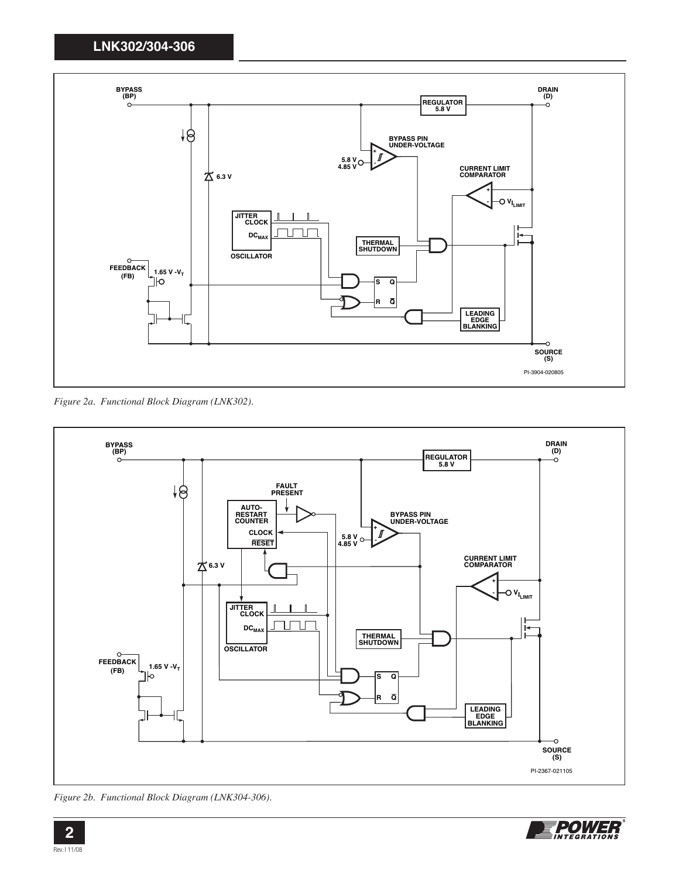

*Figure 2a. Functional Block Diagram (LNK302).* 



*Figure 2b. Functional Block Diagram (LNK304-306).* 

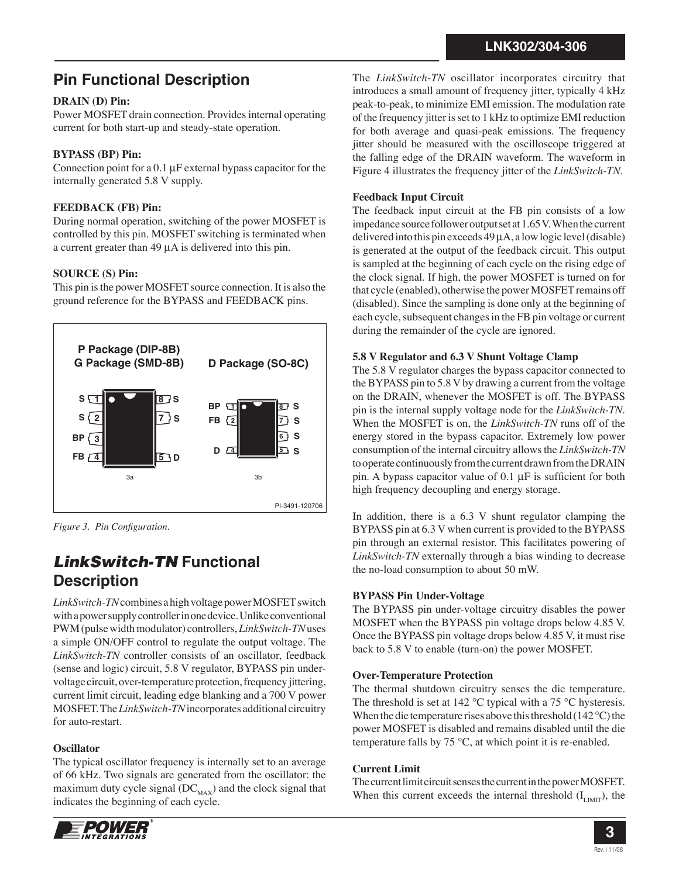# **Pin Functional Description**

## **DRAIN (D) Pin:**

Power MOSFET drain connection. Provides internal operating current for both start-up and steady-state operation.

## **BYPASS (BP) Pin:**

Connection point for a 0.1 μF external bypass capacitor for the internally generated 5.8 V supply.

## **FEEDBACK (FB) Pin:**

During normal operation, switching of the power MOSFET is controlled by this pin. MOSFET switching is terminated when a current greater than 49 μA is delivered into this pin.

## **SOURCE (S) Pin:**

This pin is the power MOSFET source connection. It is also the ground reference for the BYPASS and FEEDBACK pins.



*Figure 3. Pin Configuration.* 

# *LinkSwitch-TN* **Functional Description**

*LinkSwitch-TN* combines a high voltage power MOSFET switch with a power supply controller in one device. Unlike conventional PWM (pulse width modulator) controllers, *LinkSwitch-TN* uses a simple ON/OFF control to regulate the output voltage. The *LinkSwitch-TN* controller consists of an oscillator, feedback (sense and logic) circuit, 5.8 V regulator, BYPASS pin undervoltage circuit, over-temperature protection, frequency jittering, current limit circuit, leading edge blanking and a 700 V power MOSFET. The *LinkSwitch-TN* incorporates additional circuitry for auto-restart.

## **Oscillator**

The typical oscillator frequency is internally set to an average of 66 kHz. Two signals are generated from the oscillator: the maximum duty cycle signal  $(DC_{MAX})$  and the clock signal that indicates the beginning of each cycle.



The *LinkSwitch-TN* oscillator incorporates circuitry that introduces a small amount of frequency jitter, typically 4 kHz peak-to-peak, to minimize EMI emission. The modulation rate of the frequency jitter is set to 1 kHz to optimize EMI reduction for both average and quasi-peak emissions. The frequency jitter should be measured with the oscilloscope triggered at the falling edge of the DRAIN waveform. The waveform in Figure 4 illustrates the frequency jitter of the *LinkSwitch-TN*.

## **Feedback Input Circuit**

The feedback input circuit at the FB pin consists of a low impedance source follower output set at 1.65 V. When the current delivered into this pin exceeds 49 μA, a low logic level (disable) is generated at the output of the feedback circuit. This output is sampled at the beginning of each cycle on the rising edge of the clock signal. If high, the power MOSFET is turned on for that cycle (enabled), otherwise the power MOSFET remains off (disabled). Since the sampling is done only at the beginning of each cycle, subsequent changes in the FB pin voltage or current during the remainder of the cycle are ignored.

## **5.8 V Regulator and 6.3 V Shunt Voltage Clamp**

The 5.8 V regulator charges the bypass capacitor connected to the BYPASS pin to 5.8 V by drawing a current from the voltage on the DRAIN, whenever the MOSFET is off. The BYPASS pin is the internal supply voltage node for the *LinkSwitch-TN*. When the MOSFET is on, the *LinkSwitch-TN* runs off of the energy stored in the bypass capacitor. Extremely low power consumption of the internal circuitry allows the *LinkSwitch-TN*  to operate continuously from the current drawn from the DRAIN pin. A bypass capacitor value of  $0.1 \mu$ F is sufficient for both high frequency decoupling and energy storage.

In addition, there is a  $6.3$  V shunt regulator clamping the BYPASS pin at 6.3 V when current is provided to the BYPASS pin through an external resistor. This facilitates powering of *LinkSwitch-TN* externally through a bias winding to decrease the no-load consumption to about 50 mW.

## **BYPASS Pin Under-Voltage**

The BYPASS pin under-voltage circuitry disables the power MOSFET when the BYPASS pin voltage drops below 4.85 V. Once the BYPASS pin voltage drops below 4.85 V, it must rise back to 5.8 V to enable (turn-on) the power MOSFET.

## **Over-Temperature Protection**

The thermal shutdown circuitry senses the die temperature. The threshold is set at 142  $\degree$ C typical with a 75  $\degree$ C hysteresis. When the die temperature rises above this threshold (142 °C) the power MOSFET is disabled and remains disabled until the die temperature falls by 75 °C, at which point it is re-enabled.

## **Current Limit**

The current limit circuit senses the current in the power MOSFET. When this current exceeds the internal threshold  $(I_{L<sub>IMIT</sub>})$ , the

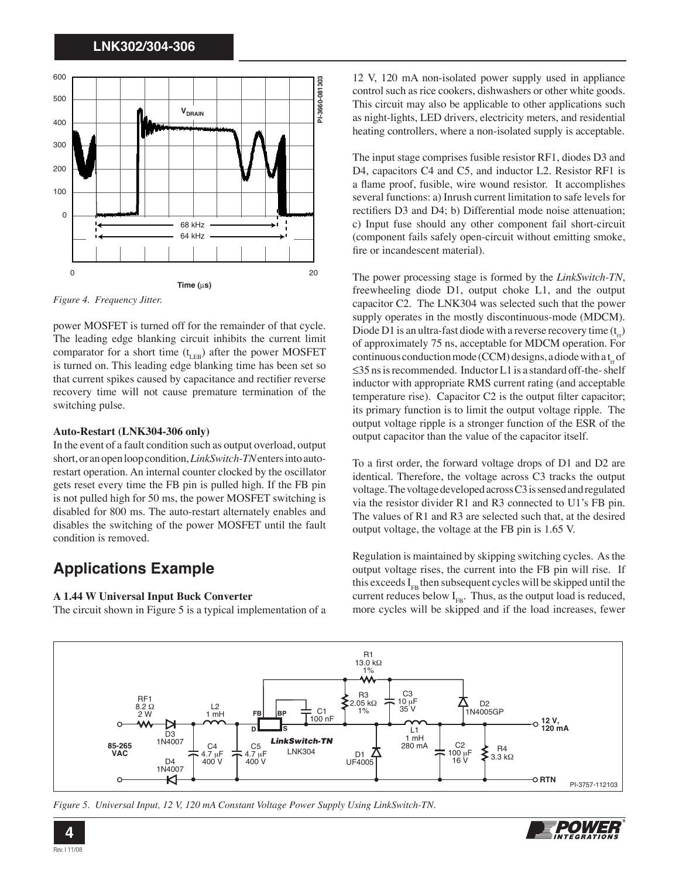

*Figure 4. Frequency Jitter.*

power MOSFET is turned off for the remainder of that cycle. The leading edge blanking circuit inhibits the current limit comparator for a short time  $(t_{LR})$  after the power MOSFET is turned on. This leading edge blanking time has been set so that current spikes caused by capacitance and rectifier reverse recovery time will not cause premature termination of the switching pulse.

#### **Auto-Restart (LNK304-306 only)**

In the event of a fault condition such as output overload, output short, or an open loop condition, *LinkSwitch-TN* enters into autorestart operation. An internal counter clocked by the oscillator gets reset every time the FB pin is pulled high. If the FB pin is not pulled high for 50 ms, the power MOSFET switching is disabled for 800 ms. The auto-restart alternately enables and disables the switching of the power MOSFET until the fault condition is removed.

# **Applications Example**

### **A 1.44 W Universal Input Buck Converter**

The circuit shown in Figure 5 is a typical implementation of a

12 V, 120 mA non-isolated power supply used in appliance control such as rice cookers, dishwashers or other white goods. This circuit may also be applicable to other applications such as night-lights, LED drivers, electricity meters, and residential heating controllers, where a non-isolated supply is acceptable.

The input stage comprises fusible resistor RF1, diodes D3 and D4, capacitors C4 and C5, and inductor L2. Resistor RF1 is a flame proof, fusible, wire wound resistor. It accomplishes several functions: a) Inrush current limitation to safe levels for rectifiers D3 and D4; b) Differential mode noise attenuation; c) Input fuse should any other component fail short-circuit (component fails safely open-circuit without emitting smoke, fire or incandescent material).

The power processing stage is formed by the *LinkSwitch-TN*, freewheeling diode D1, output choke L1, and the output capacitor C2. The LNK304 was selected such that the power supply operates in the mostly discontinuous-mode (MDCM). Diode D1 is an ultra-fast diode with a reverse recovery time  $(t)$ of approximately 75 ns, acceptable for MDCM operation. For continuous conduction mode (CCM) designs, a diode with a t<sub>r</sub> of ≤35 ns is recommended. Inductor L1 is a standard off-the- shelf inductor with appropriate RMS current rating (and acceptable temperature rise). Capacitor  $C2$  is the output filter capacitor; its primary function is to limit the output voltage ripple. The output voltage ripple is a stronger function of the ESR of the output capacitor than the value of the capacitor itself.

To a first order, the forward voltage drops of D1 and D2 are identical. Therefore, the voltage across C3 tracks the output voltage. The voltage developed across C3 is sensed and regulated via the resistor divider R1 and R3 connected to U1's FB pin. The values of R1 and R3 are selected such that, at the desired output voltage, the voltage at the FB pin is 1.65 V.

Regulation is maintained by skipping switching cycles. As the output voltage rises, the current into the FB pin will rise. If this exceeds  $I_{FB}$  then subsequent cycles will be skipped until the current reduces below  $I_{FB}$ . Thus, as the output load is reduced, more cycles will be skipped and if the load increases, fewer



*Figure 5. Universal Input, 12 V, 120 mA Constant Voltage Power Supply Using LinkSwitch-TN.* 

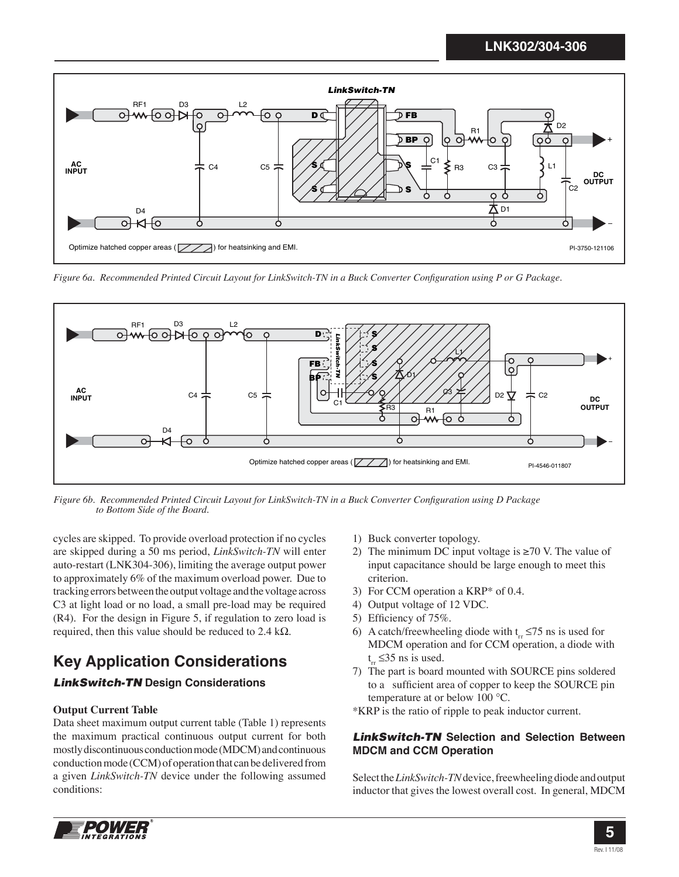

*Figure 6a. Recommended Printed Circuit Layout for LinkSwitch-TN in a Buck Converter Configuration using P or G Package.* 



*Figure 6b. Recommended Printed Circuit Layout for LinkSwitch-TN in a Buck Converter Configuration using D Package to Bottom Side of the Board.* 

cycles are skipped. To provide overload protection if no cycles are skipped during a 50 ms period, *LinkSwitch-TN* will enter auto-restart (LNK304-306), limiting the average output power to approximately 6% of the maximum overload power. Due to tracking errors between the output voltage and the voltage across C3 at light load or no load, a small pre-load may be required (R4). For the design in Figure 5, if regulation to zero load is required, then this value should be reduced to 2.4 kΩ.

# **Key Application Considerations**

# *LinkSwitch-TN* **Design Considerations**

## **Output Current Table**

Data sheet maximum output current table (Table 1) represents the maximum practical continuous output current for both mostly discontinuous conduction mode (MDCM) and continuous conduction mode (CCM) of operation that can be delivered from a given *LinkSwitch-TN* device under the following assumed conditions:

- 1) Buck converter topology.
- 2) The minimum DC input voltage is  $\geq 70$  V. The value of input capacitance should be large enough to meet this criterion.
- 3) For CCM operation a KRP\* of 0.4.
- 4) Output voltage of 12 VDC.
- 5) Efficiency of  $75\%$ .
- 6) A catch/freewheeling diode with  $t_r \le 75$  ns is used for MDCM operation and for CCM operation, a diode with  $t_{\rm rr}$  ≤35 ns is used.
- 7) The part is board mounted with SOURCE pins soldered to a sufficient area of copper to keep the SOURCE pin temperature at or below 100 °C.
- \*KRP is the ratio of ripple to peak inductor current.

## *LinkSwitch-TN* **Selection and Selection Between MDCM and CCM Operation**

Select the *LinkSwitch-TN* device, freewheeling diode and output inductor that gives the lowest overall cost. In general, MDCM

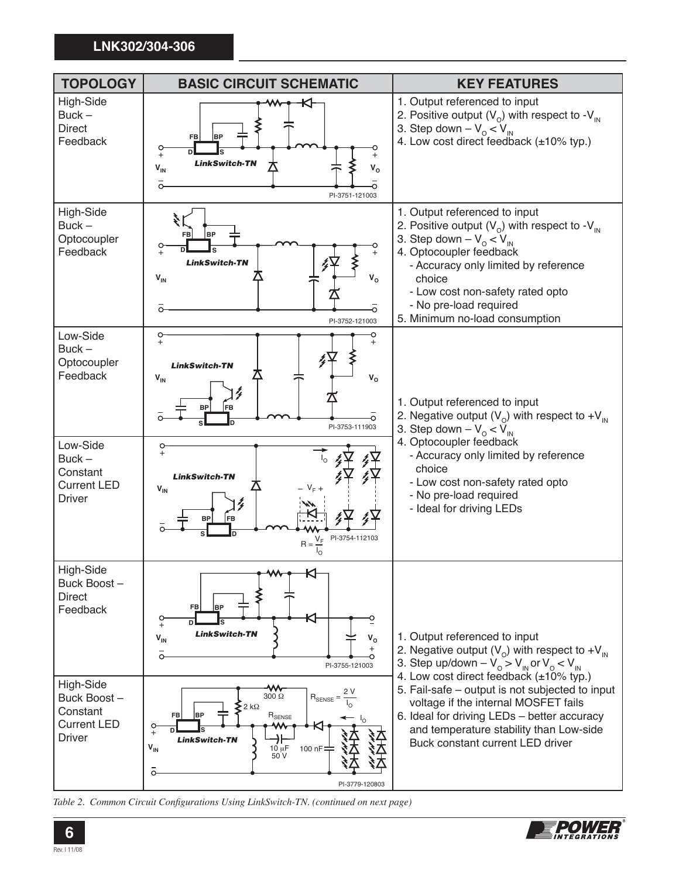

*Table 2. Common Circuit Configurations Using LinkSwitch-TN. (continued on next page)* 

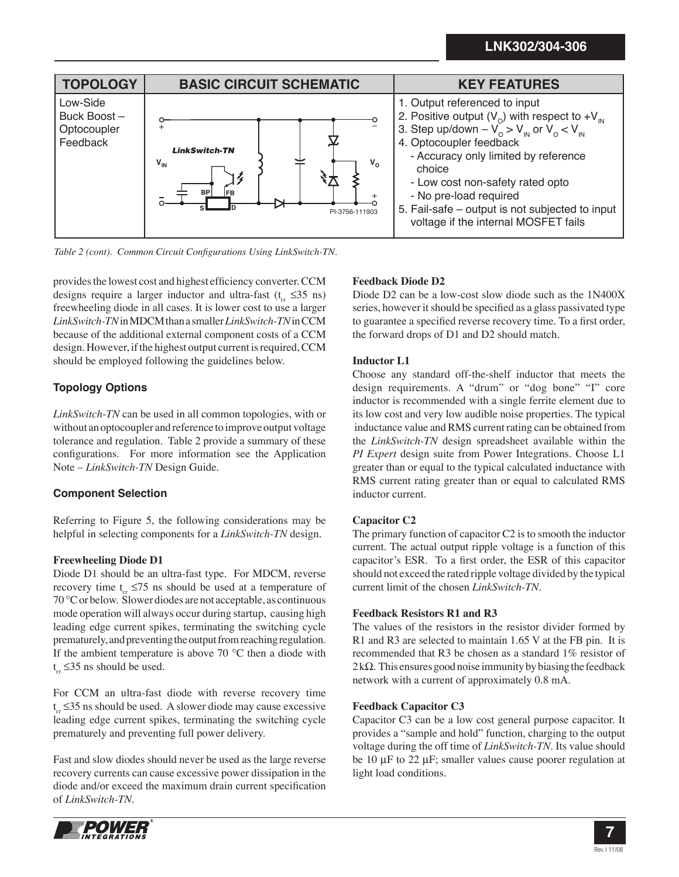

Table 2 (cont). Common Circuit Configurations Using LinkSwitch-TN.

provides the lowest cost and highest efficiency converter. CCM designs require a larger inductor and ultra-fast (t<sub>ra</sub> ≤35 ns) freewheeling diode in all cases. It is lower cost to use a larger *LinkSwitch-TN* in MDCM than a smaller *LinkSwitch-TN* in CCM because of the additional external component costs of a CCM design. However, if the highest output current is required, CCM should be employed following the guidelines below.

# **Topology Options**

*LinkSwitch-TN* can be used in all common topologies, with or without an optocoupler and reference to improve output voltage tolerance and regulation. Table 2 provide a summary of these configurations. For more information see the Application Note – *LinkSwitch-TN* Design Guide.

# **Component Selection**

Referring to Figure 5, the following considerations may be helpful in selecting components for a *LinkSwitch-TN* design.

# **Freewheeling Diode D1**

Diode D1 should be an ultra-fast type. For MDCM, reverse recovery time t<sub>ru</sub> ≤75 ns should be used at a temperature of 70 °C or below. Slower diodes are not acceptable, as continuous mode operation will always occur during startup, causing high leading edge current spikes, terminating the switching cycle prematurely, and preventing the output from reaching regulation. If the ambient temperature is above 70 °C then a diode with t<sub>rr</sub> ≤35 ns should be used.

For CCM an ultra-fast diode with reverse recovery time t<sub>r</sub> ≤35 ns should be used. A slower diode may cause excessive leading edge current spikes, terminating the switching cycle prematurely and preventing full power delivery.

Fast and slow diodes should never be used as the large reverse recovery currents can cause excessive power dissipation in the diode and/or exceed the maximum drain current specification of *LinkSwitch-TN*.



# **Feedback Diode D2**

Diode D2 can be a low-cost slow diode such as the 1N400X series, however it should be specified as a glass passivated type to guarantee a specified reverse recovery time. To a first order, the forward drops of D1 and D2 should match.

## **Inductor L1**

Choose any standard off-the-shelf inductor that meets the design requirements. A "drum" or "dog bone" "I" core inductor is recommended with a single ferrite element due to its low cost and very low audible noise properties. The typical inductance value and RMS current rating can be obtained from the *LinkSwitch-TN* design spreadsheet available within the *PI Expert* design suite from Power Integrations. Choose L1 greater than or equal to the typical calculated inductance with RMS current rating greater than or equal to calculated RMS inductor current.

# **Capacitor C2**

The primary function of capacitor C2 is to smooth the inductor current. The actual output ripple voltage is a function of this capacitor's ESR. To a first order, the ESR of this capacitor should not exceed the rated ripple voltage divided by the typical current limit of the chosen *LinkSwitch-TN*.

## **Feedback Resistors R1 and R3**

The values of the resistors in the resistor divider formed by R1 and R3 are selected to maintain 1.65 V at the FB pin. It is recommended that R3 be chosen as a standard 1% resistor of 2 k $\Omega$ . This ensures good noise immunity by biasing the feedback network with a current of approximately 0.8 mA.

## **Feedback Capacitor C3**

Capacitor C3 can be a low cost general purpose capacitor. It provides a "sample and hold" function, charging to the output voltage during the off time of *LinkSwitch-TN*. Its value should be 10 μF to 22 μF; smaller values cause poorer regulation at light load conditions.

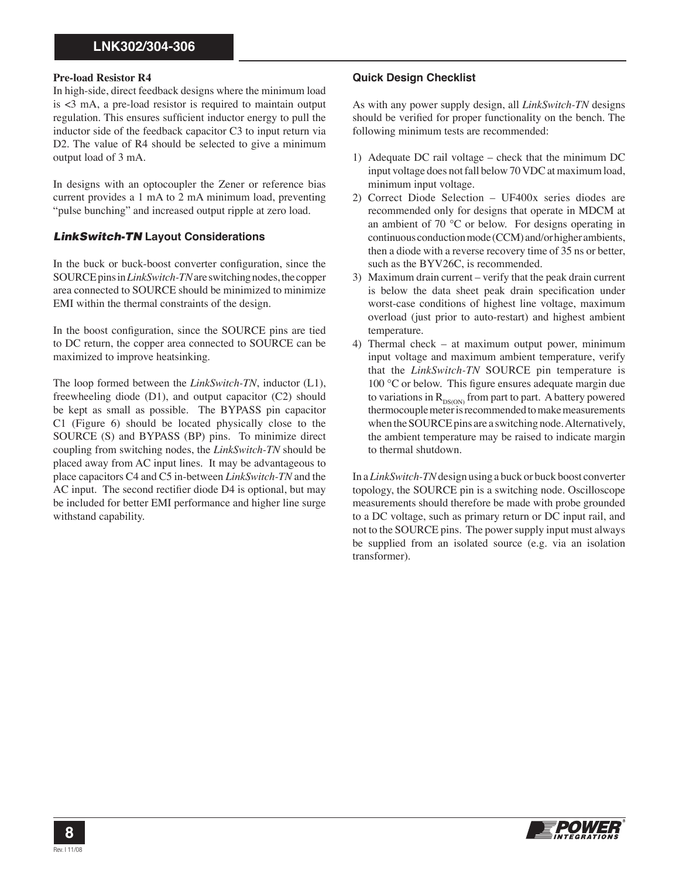#### **Pre-load Resistor R4**

In high-side, direct feedback designs where the minimum load is <3 mA, a pre-load resistor is required to maintain output regulation. This ensures sufficient inductor energy to pull the inductor side of the feedback capacitor C3 to input return via D2. The value of R4 should be selected to give a minimum output load of 3 mA.

In designs with an optocoupler the Zener or reference bias current provides a 1 mA to 2 mA minimum load, preventing "pulse bunching" and increased output ripple at zero load.

### *LinkSwitch-TN* **Layout Considerations**

In the buck or buck-boost converter configuration, since the SOURCE pins in *LinkSwitch-TN* are switching nodes, the copper area connected to SOURCE should be minimized to minimize EMI within the thermal constraints of the design.

In the boost configuration, since the SOURCE pins are tied to DC return, the copper area connected to SOURCE can be maximized to improve heatsinking.

The loop formed between the *LinkSwitch-TN*, inductor (L1), freewheeling diode (D1), and output capacitor (C2) should be kept as small as possible. The BYPASS pin capacitor C1 (Figure 6) should be located physically close to the SOURCE (S) and BYPASS (BP) pins. To minimize direct coupling from switching nodes, the *LinkSwitch-TN* should be placed away from AC input lines. It may be advantageous to place capacitors C4 and C5 in-between *LinkSwitch-TN* and the AC input. The second rectifier diode D4 is optional, but may be included for better EMI performance and higher line surge withstand capability.

### **Quick Design Checklist**

As with any power supply design, all *LinkSwitch-TN* designs should be verified for proper functionality on the bench. The following minimum tests are recommended:

- 1) Adequate DC rail voltage check that the minimum DC input voltage does not fall below 70 VDC at maximum load, minimum input voltage.
- 2) Correct Diode Selection UF400x series diodes are recommended only for designs that operate in MDCM at an ambient of 70 °C or below. For designs operating in continuous conduction mode (CCM) and/or higher ambients, then a diode with a reverse recovery time of 35 ns or better, such as the BYV26C, is recommended.
- 3) Maximum drain current verify that the peak drain current is below the data sheet peak drain specification under worst-case conditions of highest line voltage, maximum overload (just prior to auto-restart) and highest ambient temperature.
- 4) Thermal check at maximum output power, minimum input voltage and maximum ambient temperature, verify that the *LinkSwitch-TN* SOURCE pin temperature is 100  $\rm{°C}$  or below. This figure ensures adequate margin due to variations in  $R_{DS(ON)}$  from part to part. A battery powered thermocouple meter is recommended to make measurements when the SOURCE pins are a switching node. Alternatively, the ambient temperature may be raised to indicate margin to thermal shutdown.

In a *LinkSwitch-TN* design using a buck or buck boost converter topology, the SOURCE pin is a switching node. Oscilloscope measurements should therefore be made with probe grounded to a DC voltage, such as primary return or DC input rail, and not to the SOURCE pins. The power supply input must always be supplied from an isolated source (e.g. via an isolation transformer).

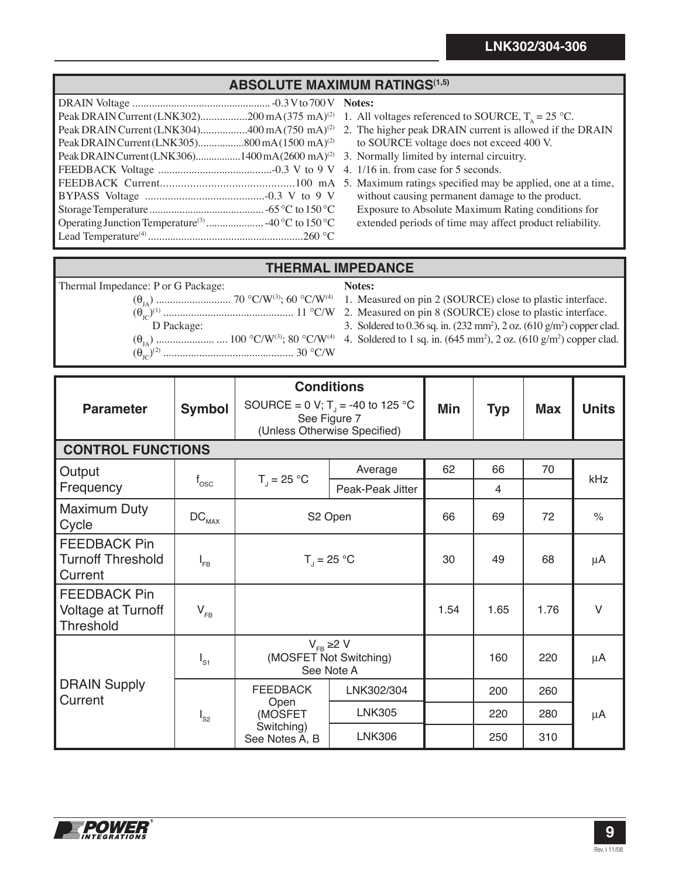# **ABSOLUTE MAXIMUM RATINGS(1,5)**

| Peak DRAIN Current (LNK302)200 mA (375 mA) <sup>(2)</sup>   |  |
|-------------------------------------------------------------|--|
| Peak DRAIN Current (LNK304)400 mA (750 mA) <sup>(2)</sup>   |  |
|                                                             |  |
| Peak DRAIN Current (LNK306)1400 mA (2600 mA) <sup>(2)</sup> |  |
|                                                             |  |
|                                                             |  |
|                                                             |  |
|                                                             |  |
|                                                             |  |
|                                                             |  |

- **Notes:**
- 1. All voltages referenced to SOURCE,  $T_A = 25 \text{ °C}$ .
- 2. The higher peak DRAIN current is allowed if the DRAIN to SOURCE voltage does not exceed 400 V.
- 3. Normally limited by internal circuitry.
- 4. 1/16 in. from case for 5 seconds.
- 5. Maximum ratings specified may be applied, one at a time, without causing permanent damage to the product. Exposure to Absolute Maximum Rating conditions for extended periods of time may affect product reliability.

# **THERMAL IMPEDANCE**

| Thermal Impedance: P or G Package: | Notes:                                                                                      |
|------------------------------------|---------------------------------------------------------------------------------------------|
|                                    |                                                                                             |
|                                    |                                                                                             |
| D Package:                         | 3. Soldered to 0.36 sq. in. $(232 \text{ mm}^2)$ , 2 oz. $(610 \text{ g/m}^2)$ copper clad. |
|                                    |                                                                                             |
|                                    |                                                                                             |

| <b>Parameter</b>                                                     | <b>Symbol</b>                | <b>Conditions</b><br>SOURCE = 0 V; T <sub>1</sub> = -40 to 125 °C<br>See Figure 7 |                  | Min  | <b>Typ</b> | <b>Max</b> | <b>Units</b>         |
|----------------------------------------------------------------------|------------------------------|-----------------------------------------------------------------------------------|------------------|------|------------|------------|----------------------|
|                                                                      |                              | (Unless Otherwise Specified)                                                      |                  |      |            |            |                      |
| <b>CONTROL FUNCTIONS</b>                                             |                              |                                                                                   |                  |      |            |            |                      |
| Output                                                               |                              | $T_{1} = 25 °C$                                                                   | Average          | 62   | 66         | 70         | kHz                  |
| Frequency                                                            | $f_{\rm osc}$                |                                                                                   | Peak-Peak Jitter |      | 4          |            |                      |
| <b>Maximum Duty</b><br>Cycle                                         | $\mathtt{DC}_{\mathtt{MAX}}$ | S2 Open                                                                           |                  | 66   | 69         | 72         | $\frac{1}{\sqrt{2}}$ |
| <b>FEEDBACK Pin</b><br><b>Turnoff Threshold</b><br>Current           | $I_{FB}$                     | $T_{\rm J} = 25 \,^{\circ}C$                                                      |                  | 30   | 49         | 68         | μA                   |
| <b>FEEDBACK Pin</b><br><b>Voltage at Turnoff</b><br><b>Threshold</b> | $V_{FB}$                     |                                                                                   |                  | 1.54 | 1.65       | 1.76       | $\vee$               |
| $I_{S1}$                                                             |                              | $V_{FB} \ge 2 V$<br>(MOSFET Not Switching)<br>See Note A                          |                  |      | 160        | 220        | μA                   |
| <b>DRAIN Supply</b><br>Current                                       | $I_{S2}$                     | <b>FEEDBACK</b><br>Open<br>(MOSFET<br>Switching)<br>See Notes A, B                | LNK302/304       |      | 200        | 260        |                      |
|                                                                      |                              |                                                                                   | <b>LNK305</b>    |      | 220        | 280        | μA                   |
|                                                                      |                              |                                                                                   | <b>LNK306</b>    |      | 250        | 310        |                      |

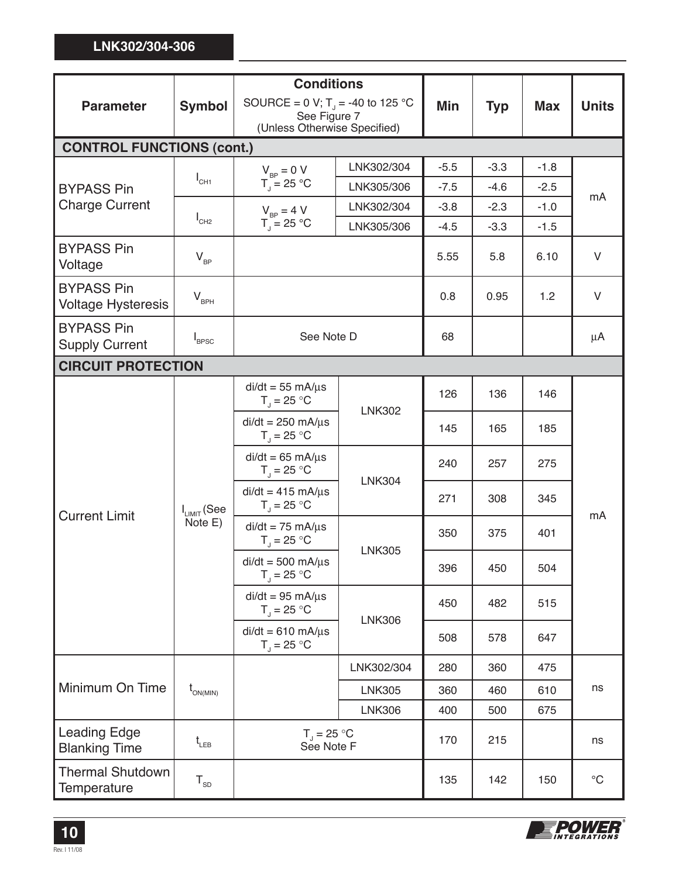|                                                |                             | <b>Conditions</b>                                        |               |        |            |            |                 |
|------------------------------------------------|-----------------------------|----------------------------------------------------------|---------------|--------|------------|------------|-----------------|
| <b>Parameter</b>                               | <b>Symbol</b>               | SOURCE = 0 V; T <sub>1</sub> = -40 to 125 °C             |               | Min    | <b>Typ</b> | <b>Max</b> | <b>Units</b>    |
|                                                |                             | See Figure 7<br>(Unless Otherwise Specified)             |               |        |            |            |                 |
| <b>CONTROL FUNCTIONS (cont.)</b>               |                             |                                                          |               |        |            |            |                 |
|                                                |                             | $V_{\text{RP}} = 0 V$<br>$T_{\parallel}$ = 25 °C         | LNK302/304    | $-5.5$ | $-3.3$     | $-1.8$     | mA              |
| <b>BYPASS Pin</b>                              | $I_{CH1}$                   |                                                          | LNK305/306    | $-7.5$ | $-4.6$     | $-2.5$     |                 |
| <b>Charge Current</b>                          |                             | $V_{\text{RP}} = 4 V$                                    | LNK302/304    | $-3.8$ | $-2.3$     | $-1.0$     |                 |
|                                                | $I_{CH2}$                   | $T_{\parallel}$ = 25 °C                                  | LNK305/306    | $-4.5$ | $-3.3$     | $-1.5$     |                 |
| <b>BYPASS Pin</b><br>Voltage                   | $V_{BP}$                    |                                                          |               | 5.55   | 5.8        | 6.10       | $\vee$          |
| <b>BYPASS Pin</b><br><b>Voltage Hysteresis</b> | $V_{BPH}$                   |                                                          |               | 0.8    | 0.95       | 1.2        | $\vee$          |
| <b>BYPASS Pin</b><br><b>Supply Current</b>     | $I_{\text{BPSC}}$           | See Note D                                               |               | 68     |            |            | μA              |
| <b>CIRCUIT PROTECTION</b>                      |                             |                                                          |               |        |            |            |                 |
|                                                | $I_{LIMIT}$ (See<br>Note E) | $di/dt = 55$ mA/ $\mu$ s<br>$T_{\rm J} = 25 \,^{\circ}C$ | <b>LNK302</b> | 126    | 136        | 146        | mA              |
|                                                |                             | $di/dt = 250$ mA/ $\mu$ s<br>$T_1 = 25 °C$               |               | 145    | 165        | 185        |                 |
| <b>Current Limit</b>                           |                             | $di/dt = 65$ mA/ $\mu$ s<br>$T_{\rm J} = 25 \,^{\circ}C$ | <b>LNK304</b> | 240    | 257        | 275        |                 |
|                                                |                             | $di/dt = 415$ mA/ $\mu$ s<br>$T_{\rm J} = 25$ °C         |               | 271    | 308        | 345        |                 |
|                                                |                             | $di/dt = 75$ mA/ $\mu$ s<br>$T_{\rm J} = 25 \,^{\circ}C$ | <b>LNK305</b> | 350    | 375        | 401        |                 |
|                                                |                             | $di/dt = 500$ mA/ $\mu$ s<br>$T_{\rm J}$ = 25 °C         |               | 396    | 450        | 504        |                 |
|                                                |                             | $di/dt = 95$ mA/ $\mu$ s<br>$T_{\rm J}$ = 25 °C          | <b>LNK306</b> | 450    | 482        | 515        |                 |
|                                                |                             | $di/dt = 610$ mA/ $\mu$ s<br>$T_{\text{J}}$ = 25 °C      |               | 508    | 578        | 647        |                 |
| Minimum On Time                                | $t_{ON(MIN)}$               |                                                          | LNK302/304    | 280    | 360        | 475        |                 |
|                                                |                             |                                                          | <b>LNK305</b> | 360    | 460        | 610        | ns              |
|                                                |                             |                                                          | <b>LNK306</b> | 400    | 500        | 675        |                 |
| <b>Leading Edge</b><br><b>Blanking Time</b>    | $t_{LEB}$                   | $T_{\rm J}$ = 25 °C<br>See Note F                        |               | 170    | 215        |            | ns              |
| <b>Thermal Shutdown</b><br>Temperature         | ${\tt T}_{_{\sf SD}}$       |                                                          |               | 135    | 142        | 150        | $\rm ^{\circ}C$ |



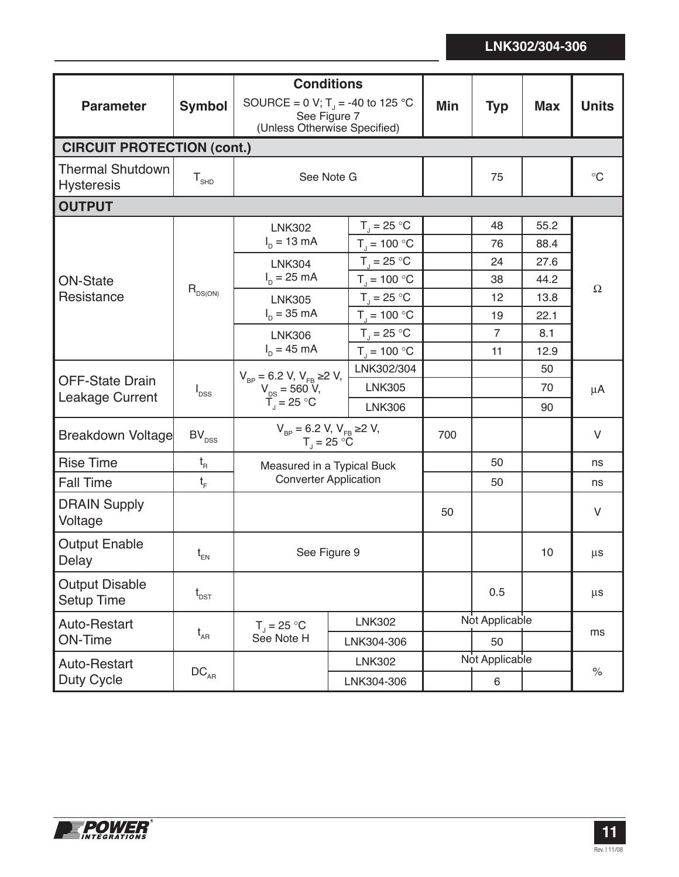| <b>Parameter</b>                             | <b>Symbol</b>                              | <b>Conditions</b><br>SOURCE = 0 V; T <sub>1</sub> = -40 to 125 °C<br>See Figure 7 |                                    | Min | <b>Typ</b>     | <b>Max</b> | <b>Units</b>      |
|----------------------------------------------|--------------------------------------------|-----------------------------------------------------------------------------------|------------------------------------|-----|----------------|------------|-------------------|
|                                              |                                            | (Unless Otherwise Specified)                                                      |                                    |     |                |            |                   |
| <b>CIRCUIT PROTECTION (cont.)</b>            |                                            |                                                                                   |                                    |     |                |            |                   |
| <b>Thermal Shutdown</b><br><b>Hysteresis</b> | ${\sf T}_{\rm SHD}$                        | See Note G                                                                        |                                    |     | 75             |            | $^\circ \text{C}$ |
| <b>OUTPUT</b>                                |                                            |                                                                                   |                                    |     |                |            |                   |
|                                              |                                            | <b>LNK302</b>                                                                     | $T_{J}$ = 25 °C                    |     | 48             | 55.2       |                   |
|                                              |                                            | $I_p = 13 \text{ mA}$                                                             | $T_{\rm J}$ = 100 °C               |     | 76             | 88.4       |                   |
|                                              |                                            | <b>LNK304</b>                                                                     | $T_{J}$ = 25 °C                    |     | 24             | 27.6       |                   |
| <b>ON-State</b>                              | $R_{DS(ON)}$                               | $I_p = 25 \text{ mA}$                                                             | $T_{\rm J} = 100 \, \rm ^{\circ}C$ |     | 38             | 44.2       | $\Omega$          |
| Resistance                                   |                                            | <b>LNK305</b>                                                                     | $T_{\rm d}$ = 25 °C                |     | 12             | 13.8       |                   |
|                                              |                                            | $I_{D} = 35 \text{ mA}$                                                           | $T_{J} = 100 °C$                   |     | 19             | 22.1       |                   |
|                                              |                                            | <b>LNK306</b><br>$I_p = 45 \text{ mA}$                                            | $T_1 = 25$ °C                      |     | $\overline{7}$ | 8.1        |                   |
|                                              |                                            |                                                                                   | $T_{J} = 100 °C$                   |     | 11             | 12.9       |                   |
| <b>OFF-State Drain</b>                       | $I_{DSS}$                                  | $V_{BP} = 6.2 V, V_{FB} \ge 2 V,$<br>$V_{DS} = 560 V,$<br>$\overline{T}$ = 25 °C  | LNK302/304                         |     |                | 50         | $\mu$ A           |
| <b>Leakage Current</b>                       |                                            |                                                                                   | <b>LNK305</b>                      |     |                | 70         |                   |
|                                              |                                            |                                                                                   | <b>LNK306</b>                      |     |                | 90         |                   |
| <b>Breakdown Voltage</b>                     | BV <sub>DSS</sub>                          | $V_{BP} = 6.2 V, V_{FB} \ge 2 V,$<br>$T_{1} = 25 \text{ °C}$                      |                                    | 700 |                |            | V                 |
| <b>Rise Time</b>                             | $\mathfrak{t}_{\textrm{\tiny R}}$          | Measured in a Typical Buck                                                        |                                    |     | 50             |            | ns                |
| <b>Fall Time</b>                             | $t_{\rm F}$                                | <b>Converter Application</b>                                                      |                                    |     | 50             |            | ns                |
| <b>DRAIN Supply</b><br>Voltage               |                                            |                                                                                   |                                    | 50  |                |            | $\vee$            |
| <b>Output Enable</b><br>Delay                | $\mathfrak{t}_{\scriptscriptstyle \sf EN}$ | See Figure 9                                                                      |                                    |     |                | 10         | $\mu$ s           |
| <b>Output Disable</b><br><b>Setup Time</b>   | $t_{\texttt{\tiny{DST}}}$                  |                                                                                   |                                    |     | 0.5            |            | $\mu$ s           |
| Auto-Restart                                 | $t_{\scriptscriptstyle \sf AR}$            | $T_{\rm d} = 25 \,^{\circ}\text{C}$<br>See Note H                                 | <b>LNK302</b>                      |     | Not Applicable |            |                   |
| <b>ON-Time</b>                               |                                            |                                                                                   | LNK304-306                         |     | 50             |            | ms                |
| Auto-Restart                                 |                                            |                                                                                   | <b>LNK302</b>                      |     | Not Applicable |            |                   |
| $\mathtt{DC}_{\mathtt{AR}}$<br>Duty Cycle    |                                            | LNK304-306                                                                        |                                    |     | 6              |            | $\%$              |

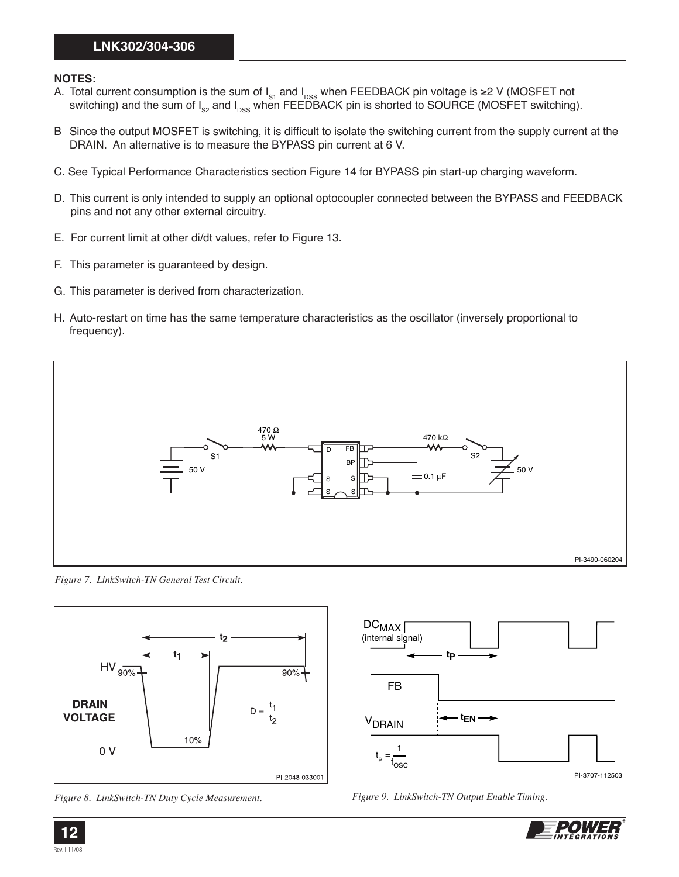## **NOTES:**

- A. Total current consumption is the sum of I<sub>s1</sub> and I<sub>DSS</sub> when FEEDBACK pin voltage is ≥2 V (MOSFET not switching) and the sum of I<sub>s2</sub> and I<sub>DSS</sub> when FEEDBACK pin is shorted to SOURCE (MOSFET switching).
- B Since the output MOSFET is switching, it is difficult to isolate the switching current from the supply current at the DRAIN. An alternative is to measure the BYPASS pin current at 6 V.
- C. See Typical Performance Characteristics section Figure 14 for BYPASS pin start-up charging waveform.
- D. This current is only intended to supply an optional optocoupler connected between the BYPASS and FEEDBACK pins and not any other external circuitry.
- E. For current limit at other di/dt values, refer to Figure 13.
- F. This parameter is guaranteed by design.
- G. This parameter is derived from characterization.
- H. Auto-restart on time has the same temperature characteristics as the oscillator (inversely proportional to frequency).



*Figure 7. LinkSwitch-TN General Test Circuit.* 



*Figure 8. LinkSwitch-TN Duty Cycle Measurement. Figure 9. LinkSwitch-TN Output Enable Timing.* 





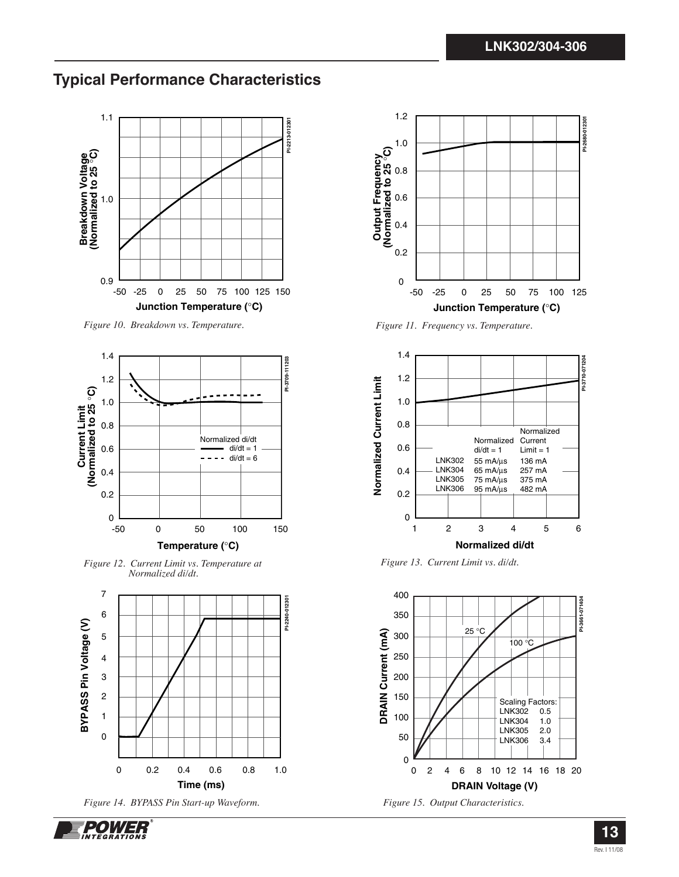# **Typical Performance Characteristics**



*Figure 10. Breakdown vs. Temperature.* 



*Figure 12. Current Limit vs. Temperature at Normalized di/dt.* 







*Figure 11. Frequency vs. Temperature.* 



*Figure 13. Current Limit vs. di/dt.* 





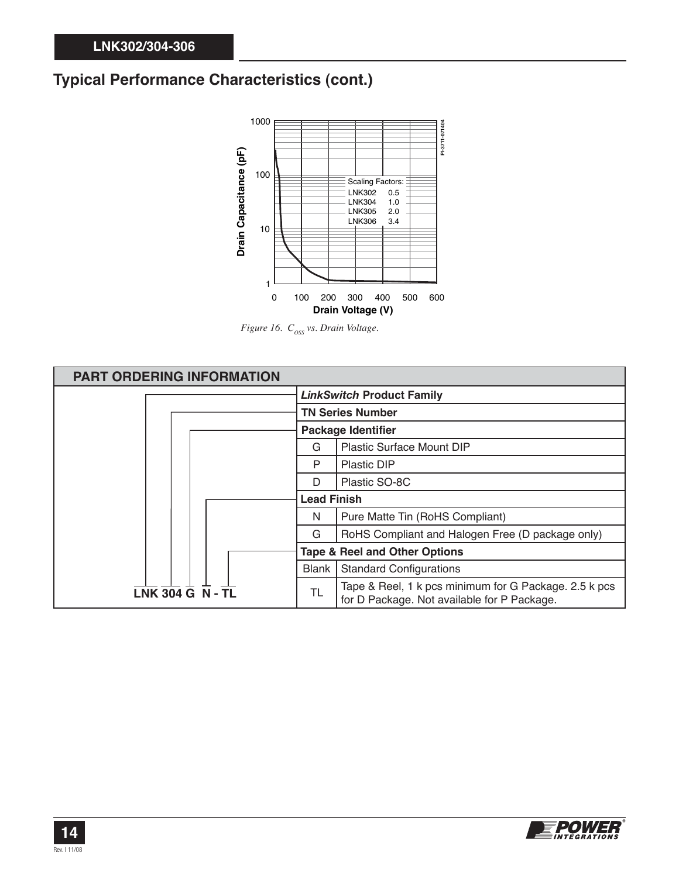# **Typical Performance Characteristics (cont.)**



*Figure 16.*  $C_{\text{oss}}$  vs. Drain Voltage.



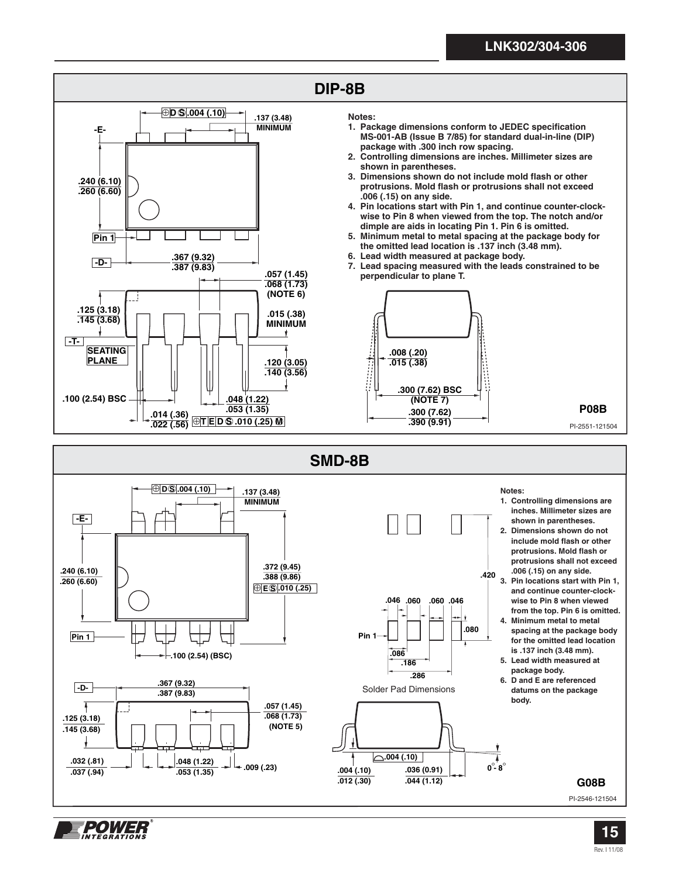

**.004 (.10) .012 (.30)**

**.048 (1.22) .009 (.23) .053 (1.35)**

**.068 (1.73) (NOTE 5)**

**.032 (.81) .037 (.94)**

1201/73.

**.125 (3.18) .145 (3.68)**

> **.036 (0.91) .044 (1.12)**

 $\overline{\overline{\mathbf{0}^{\circ}}\cdot\overline{\mathbf{8}^{\circ}}}$ 

**.004 (.10)**

 **body. .057 (1.45)**

**G08B**

PI-2546-121504

**2-15 15** Rev. I 11/08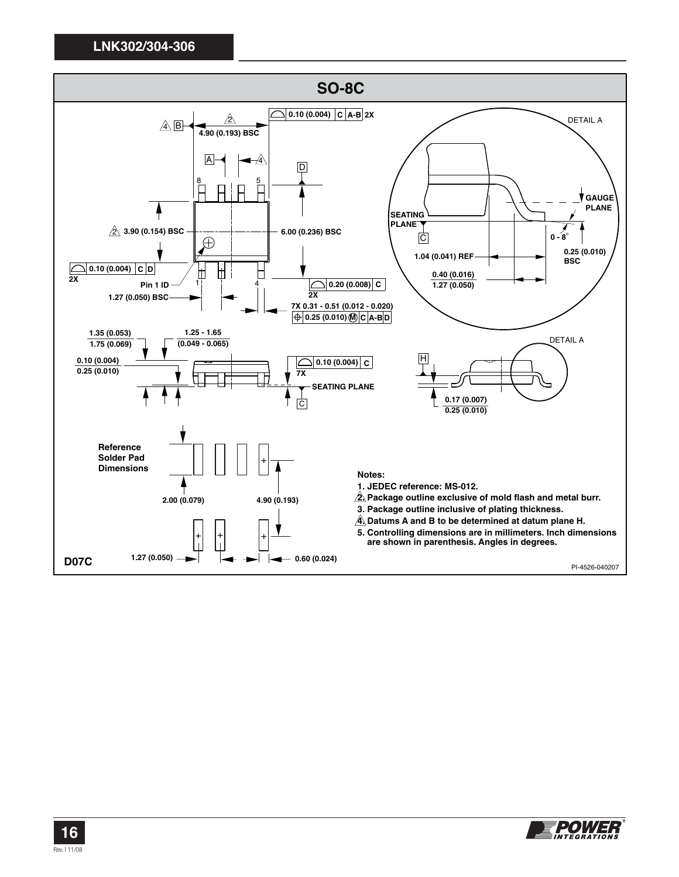

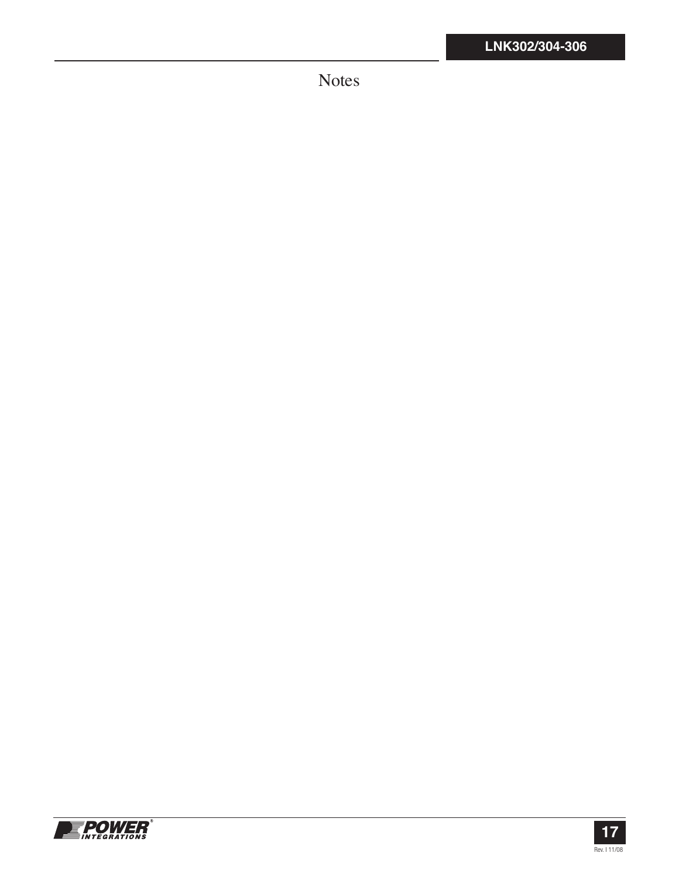Notes



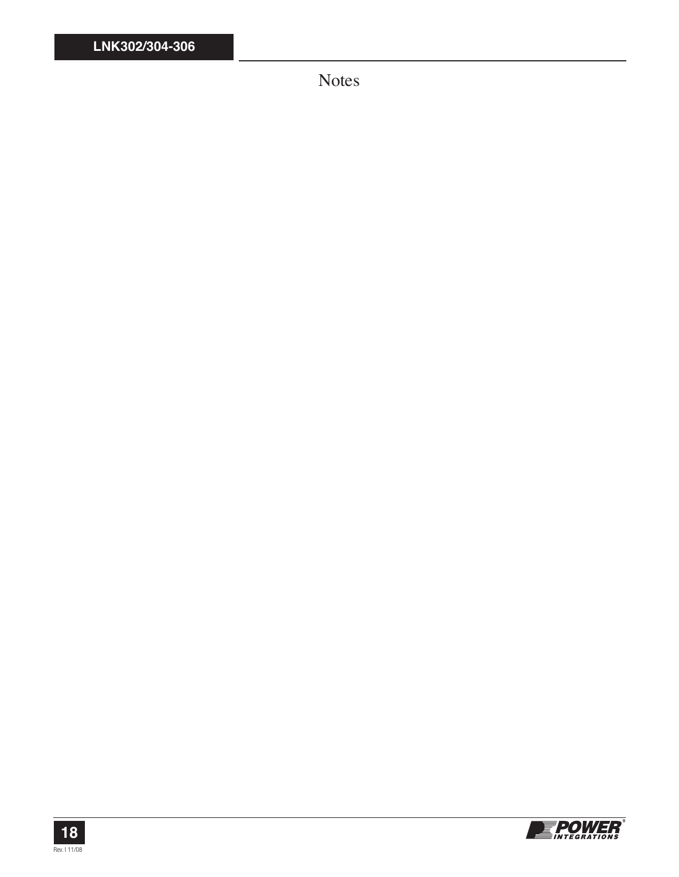Notes



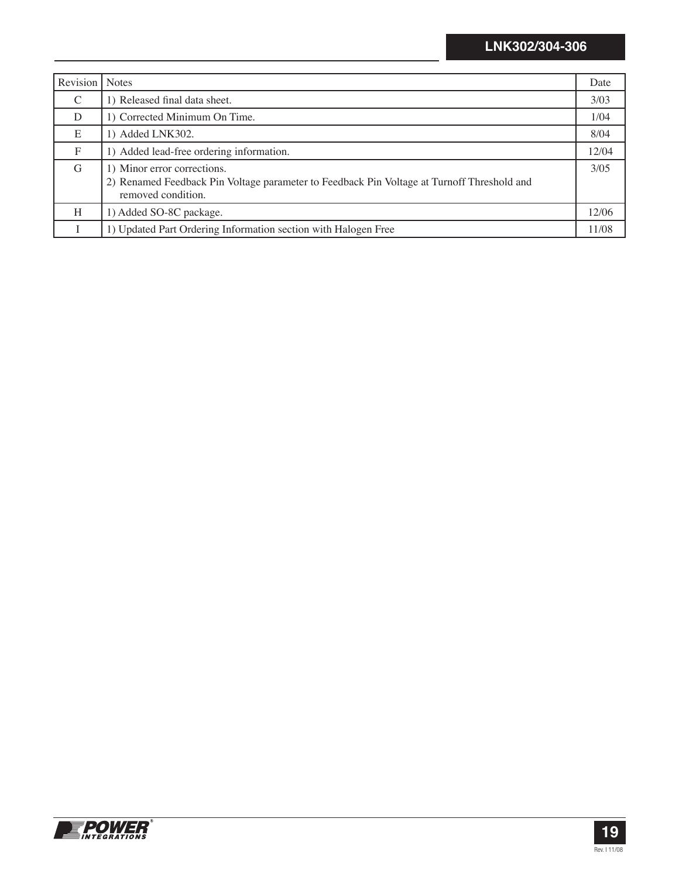| Revision     | <b>Notes</b>                                                                                                                                    | Date  |
|--------------|-------------------------------------------------------------------------------------------------------------------------------------------------|-------|
| C            | 1) Released final data sheet.                                                                                                                   | 3/03  |
| D            | 1) Corrected Minimum On Time.                                                                                                                   | 1/04  |
| E            | 1) Added LNK302.                                                                                                                                | 8/04  |
| $\mathbf{F}$ | 1) Added lead-free ordering information.                                                                                                        | 12/04 |
| G            | 1) Minor error corrections.<br>2) Renamed Feedback Pin Voltage parameter to Feedback Pin Voltage at Turnoff Threshold and<br>removed condition. | 3/0.5 |
| H            | 1) Added SO-8C package.                                                                                                                         | 12/06 |
|              | 1) Updated Part Ordering Information section with Halogen Free                                                                                  | 11/08 |